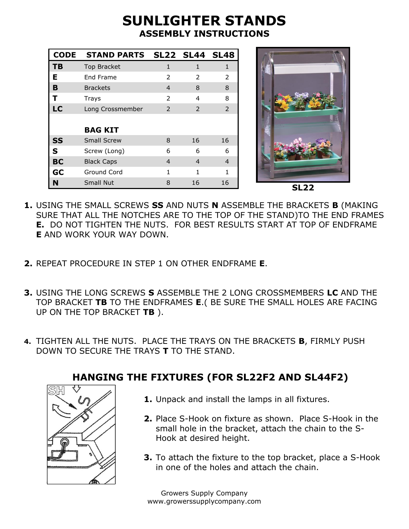## **SUNLIGHTER STANDS ASSEMBLY INSTRUCTIONS**

| <b>CODE</b> | STAND PARTS SL22 SL44 SL48 |                |                |              |
|-------------|----------------------------|----------------|----------------|--------------|
| <b>TB</b>   | Top Bracket                | $\mathbf{1}$   | $\mathbf{1}$   | $\mathbf{1}$ |
| Е           | End Frame                  | $\overline{2}$ | 2              | 2            |
| B           | <b>Brackets</b>            | $\overline{4}$ | 8              | 8            |
| т           | Trays                      | $\overline{2}$ | $\overline{4}$ | 8            |
| <b>LC</b>   | Long Crossmember           | $\overline{2}$ | 2              | 2            |
|             | <b>BAG KIT</b>             |                |                |              |
| <b>SS</b>   | <b>Small Screw</b>         | 8              | 16             | 16           |
| S           | Screw (Long)               | 6              | 6              | 6            |
| <b>BC</b>   | <b>Black Caps</b>          | $\overline{4}$ | $\overline{4}$ | 4            |
| GC          | Ground Cord                | 1              | 1              | 1            |
| N           | Small Nut                  | 8              | 16             | 16           |



- **1.** USING THE SMALL SCREWS **SS** AND NUTS **N** ASSEMBLE THE BRACKETS **B** (MAKING SURE THAT ALL THE NOTCHES ARE TO THE TOP OF THE STAND)TO THE END FRAMES **E.** DO NOT TIGHTEN THE NUTS. FOR BEST RESULTS START AT TOP OF ENDFRAME **E** AND WORK YOUR WAY DOWN.
- **2.** REPEAT PROCEDURE IN STEP 1 ON OTHER ENDFRAME **E**.
- **3.** USING THE LONG SCREWS **S** ASSEMBLE THE 2 LONG CROSSMEMBERS **LC** AND THE TOP BRACKET **TB** TO THE ENDFRAMES **E**.( BE SURE THE SMALL HOLES ARE FACING UP ON THE TOP BRACKET **TB** ).
- **4.** TIGHTEN ALL THE NUTS. PLACE THE TRAYS ON THE BRACKETS **B**, FIRMLY PUSH DOWN TO SECURE THE TRAYS **T** TO THE STAND.

## **HANGING THE FIXTURES (FOR SL22F2 AND SL44F2)**

- **1.** Unpack and install the lamps in all fixtures.
- **2.** Place S-Hook on fixture as shown. Place S-Hook in the small hole in the bracket, attach the chain to the S-Hook at desired height.
- **3.** To attach the fixture to the top bracket, place a S-Hook in one of the holes and attach the chain.

Growers Supply Company www.growerssupplycompany.com